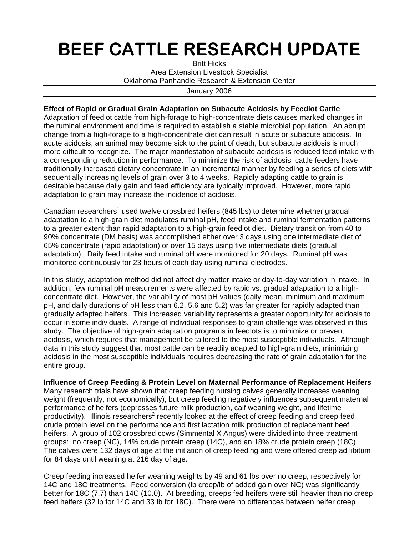## BEEF CATTLE RESEARCH UPDATE

Britt Hicks Area Extension Livestock Specialist Oklahoma Panhandle Research & Extension Center

January 2006

## **Effect of Rapid or Gradual Grain Adaptation on Subacute Acidosis by Feedlot Cattle**

Adaptation of feedlot cattle from high-forage to high-concentrate diets causes marked changes in the ruminal environment and time is required to establish a stable microbial population. An abrupt change from a high-forage to a high-concentrate diet can result in acute or subacute acidosis. In acute acidosis, an animal may become sick to the point of death, but subacute acidosis is much more difficult to recognize. The major manifestation of subacute acidosis is reduced feed intake with a corresponding reduction in performance. To minimize the risk of acidosis, cattle feeders have traditionally increased dietary concentrate in an incremental manner by feeding a series of diets with sequentially increasing levels of grain over 3 to 4 weeks. Rapidly adapting cattle to grain is desirable because daily gain and feed efficiency are typically improved. However, more rapid adaptation to grain may increase the incidence of acidosis.

Canadian researchers<sup>1</sup> used twelve crossbred heifers (845 lbs) to determine whether gradual adaptation to a high-grain diet modulates ruminal pH, feed intake and ruminal fermentation patterns to a greater extent than rapid adaptation to a high-grain feedlot diet. Dietary transition from 40 to 90% concentrate (DM basis) was accomplished either over 3 days using one intermediate diet of 65% concentrate (rapid adaptation) or over 15 days using five intermediate diets (gradual adaptation). Daily feed intake and ruminal pH were monitored for 20 days. Ruminal pH was monitored continuously for 23 hours of each day using ruminal electrodes.

In this study, adaptation method did not affect dry matter intake or day-to-day variation in intake. In addition, few ruminal pH measurements were affected by rapid vs. gradual adaptation to a highconcentrate diet. However, the variability of most pH values (daily mean, minimum and maximum pH, and daily durations of pH less than 6.2, 5.6 and 5.2) was far greater for rapidly adapted than gradually adapted heifers. This increased variability represents a greater opportunity for acidosis to occur in some individuals. A range of individual responses to grain challenge was observed in this study. The objective of high-grain adaptation programs in feedlots is to minimize or prevent acidosis, which requires that management be tailored to the most susceptible individuals. Although data in this study suggest that most cattle can be readily adapted to high-grain diets, minimizing acidosis in the most susceptible individuals requires decreasing the rate of grain adaptation for the entire group.

**Influence of Creep Feeding & Protein Level on Maternal Performance of Replacement Heifers**  Many research trials have shown that creep feeding nursing calves generally increases weaning weight (frequently, not economically), but creep feeding negatively influences subsequent maternal performance of heifers (depresses future milk production, calf weaning weight, and lifetime productivity). Illinois researchers<sup>2</sup> recently looked at the effect of creep feeding and creep feed crude protein level on the performance and first lactation milk production of replacement beef heifers. A group of 102 crossbred cows (Simmental X Angus) were divided into three treatment groups: no creep (NC), 14% crude protein creep (14C), and an 18% crude protein creep (18C). The calves were 132 days of age at the initiation of creep feeding and were offered creep ad libitum for 84 days until weaning at 216 day of age.

Creep feeding increased heifer weaning weights by 49 and 61 lbs over no creep, respectively for 14C and 18C treatments. Feed conversion (lb creep/lb of added gain over NC) was significantly better for 18C (7.7) than 14C (10.0). At breeding, creeps fed heifers were still heavier than no creep feed heifers (32 lb for 14C and 33 lb for 18C). There were no differences between heifer creep